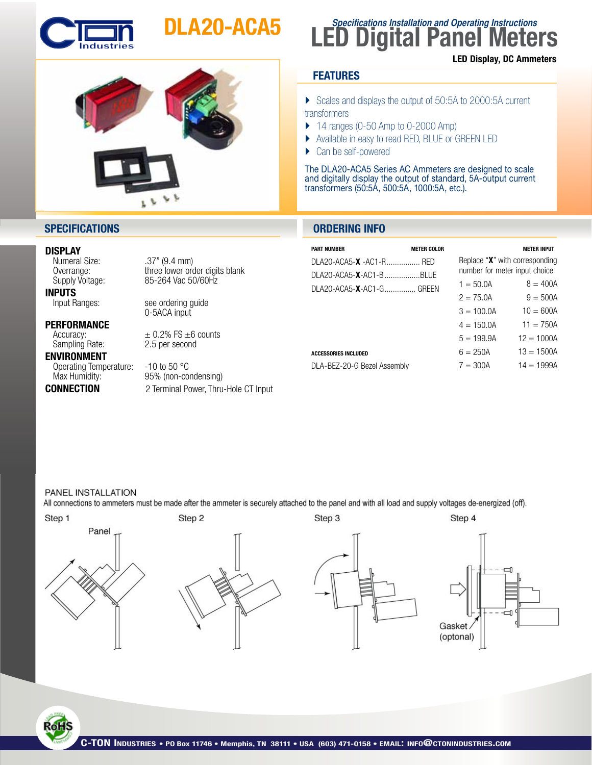

## DLA20-ACA5



### **LED Digital Panel Meters Specifications Installation and Operating Instructions** LED Display, DC Ammeters

#### **FEATURES**

} Scales and displays the output of 50:5A to 2000:5A current transformers

- $\blacktriangleright$  14 ranges (0-50 Amp to 0-2000 Amp)
- } Available in easy to read RED, BLUE or GREEN LED
- Can be self-powered

The DLA20-ACA5 Series AC Ammeters are designed to scale and digitally display the output of standard, 5A-output current transformers (50:5A, 500:5A, 1000:5A, etc.).

#### **SPECIFICATIONS ORDERING INFO**

#### DISPLAY

**INPUTS**<br>Input Ranges:

**PERFORMANCE**<br>Accuracy: Sampling Rate:

ENVIRONMENT Operating Temperature: -10 to 50 °C<br>Max Humidity: 95% (non-co

Numeral Size: .37" (9.4 mm)<br>Overrange: ... three lower order Overrange: three lower order digits blank<br>Supply Voltage: 85-264 Vac 50/60Hz 85-264 Vac 50/60Hz

see ordering guide<br>0-5ACA input

 $\pm$  0.2% FS  $\pm$ 6 counts<br>2.5 per second

95% (non-condensing) CONNECTION 2 Terminal Power, Thru-Hole CT Input

| <b>PART NUMBER</b>                  | <b>METER COLOR</b> |                                                                 | <b>METER INPUT</b> |
|-------------------------------------|--------------------|-----------------------------------------------------------------|--------------------|
| DI A20-ACA5-X -AC1-R RED            |                    | Replace "X" with corresponding<br>number for meter input choice |                    |
| DI A20-ACA5- <b>X</b> -AC1-B BI LIF |                    |                                                                 |                    |
| DI A20-ACA5-X-AC1-GGREEN            |                    | $1 = 50.0A$                                                     | $8 = 400A$         |
|                                     |                    | $2 = 75.0$ A                                                    | $9 = 500A$         |
|                                     |                    | $3 = 100.04$                                                    | $10 = 600A$        |
|                                     |                    | $4 = 150.0A$                                                    | $11 = 750A$        |
|                                     |                    | $5 = 199.9A$                                                    | $12 = 1000A$       |
| <b>ACCESSORIES INCLUDED</b>         |                    | $6 = 250A$                                                      | $13 = 1500A$       |
| DLA-BEZ-20-G Bezel Assembly         |                    | $7 = 300A$                                                      | $14 = 1999A$       |
|                                     |                    |                                                                 |                    |

#### PANEL INSTALLATION

**RoH**S

All connections to ammeters must be made after the ammeter is securely attached to the panel and with all load and supply voltages de-energized (off).